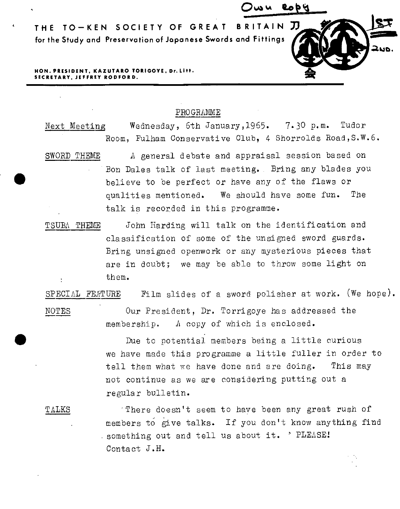

## PROGRAMME

Next Meeting Wednesday, 6th January, 1965. 7.30 p.m. Tudor Room, Fulham Conservative Club, 4 Shorrolds Road,S.W.6.

- SWORD THEME  $\Lambda$  general debate and appraisal session based on Bon Dales talk of last meeting. Bring any blades you believe to be perfect or have any of the flaws or qualities mentioned. We should have some fun. The talk is recorded in this programme.
- TSUBh THEME John Harding will talk on the identification and classification of some of the unsigned sword guards. Bring unsigned openwork or any mysterious pieces that are in doubt; we may be able to throw some light on them.

SPECIAL FEATURE Film slides of a sword polisher at work. (We hope).

NOTES

•

•

Our President, Dr. Torrigoye has addressed the membership.  $\Lambda$  copy of which is enclosed.

Due to potential members being a little curious we have made this programme a little fuller in order to tell them what we have done and are doing. This may not continue as we are considering putting out <sup>a</sup> regular bulletin.

TALKS

· There doesn't seem to have been any great rush of members to give talks. If you don't know anything find something out and tell us about it. ' PLEASE! Contact J .H.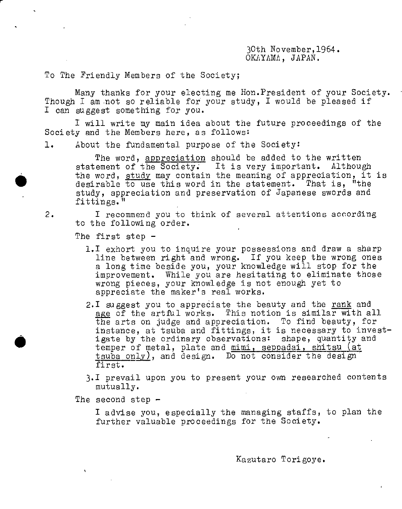30th November,l964. OKAYAMA, JAPAN.

To The Friendly Members of the Society;

Many thanks for your electing me Hon.President of your Society. Though I am not so reliable for your study, I would be pleased if I can suggest something for you.

<sup>I</sup>will write my main idea about the future proceedings of the Society and the Members here, as follows:

1. About the fundamental purpose of the Society:

The word, appreciation should be added to the written statement of the Society. It is very important. Although the word, study may contain the meaning of appreciation, it is desirable to use this word in the statement. That is, "the study, appreciation and preservation of Japanese swords and fittings."

I recommend you to think of several attentions according to the following order.

The first step -

 $\bullet$ 

2.

 $\bullet$ 

- l.I exhort you to inquire your possessions and draw a sharp line between right and wrong. If you keep the wrong ones <sup>a</sup>long time beside you, your knowledge will stop for the improvement. While you are hesitating to eliminate those wrong pieces, your knowledge is not enough yet to appreciate the maker's real works.
- 2.I suggest you to appreciate the beauty and the rank and age of the artful works. This notion is similar with all the arts on judge and appreciation. To find beauty, for instance, at tsuba and fittings, it is necessary to investigate by the ordinary observations: shape, quantity and temper of metal, plate and mimi, seppadai, shitsu (at tsuba only), and design. Do not consider the design first.
- J,I prevail upon you to present your own researched contents mutually.

The second step -

<sup>I</sup>advise you, especially the managing staffs, to plan the further valuable proceedings for the Society.

Kazutaro Torigoye.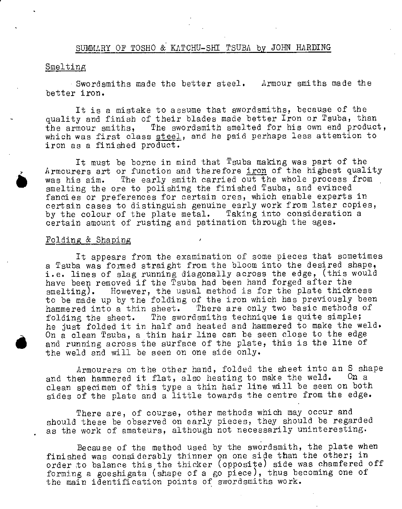## SUMMARY OF TOSHO & KATCHU-SHI TSUBA by JOHN HARDING

#### Smelting

Swordsmiths made the better steel. Armour smiths made the better iron.

It is a mistake to assume that swordsmiths, because of the quality ana finish of their blades made better Iron or Tsuba, than the armour smiths, The swordsmith smelted for his own end product, which was first class steel, and he paid perhaps less attention to iron as a finished product.

It must be borne in mind that  $T$ suba making was part of the Armourers art or function and therefore iron of the highest quality was his aim. The early smith carried out the whole process from smelting the ore to polishing the finished Tsuba, and evinced fancies or preferences for certain ores, which enable experts in certain cases to distinguish genuine early work from later copies,<br>by the colour of the plate metal. Taking into consideration a by the colour of the plate metal. certain amount of rusting ana patination through the ages.

#### Folding  $&$  Shaping

It appears from the examination of some pieces that sometimes a Tsuba was formed straight from the bloom into the desired shape, i.e. lines of slag running diagonally across the edge, (this would have been removed if the Tsuba had been hand forged after the smelting). However, the usual method is for the plate thickness to be made up by the folding of the iron which has previously been<br>hammered into a thin sheet. There are only two basic methods of There are only two basic methods of folding the sheet. The swordsmiths technique is quite simple; he just folded it in half and heated and hammered to make the weld. On a clean Tsuba, a thin hair line can be seen close to the edge and running across the surface of the plate, this is the line of the weld and will be seen on one side only,

Armourers on the other hand, folded the sheet into an S shape and then hammered it flat, also heating to make the weld. On a clean specimen of this type a thin hair line will be seen on both sides of the plate and a little towards the centre from the edge.

There are, of course, other methods which may occur and should these be observed on early pieces, they should be regarded as the work of amateurs, although not necessarily uninteresting.

Because of the method used by the swordsmith, the plate when finished was considerably thinner on one side than the other; in order to balance this the thicker (opposite) side was chamfered off forming a goeshigata (shape of a go piece), thus becoming one of the main identification points of swordsmiths work.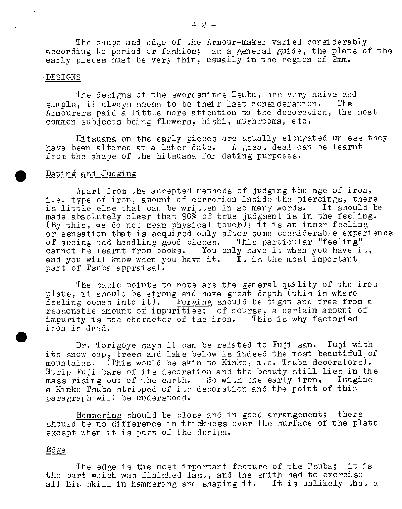The shape and edge of the Armour-maker varied considerably according to period or fashion; as <sup>a</sup>general guide, the plate of the early pieces must be very thin, usually in the region of 2mm.

#### ·DESIGNS

The designs of the swordsmiths Tsuba, are very naive and simple, it always seems to be their last consideration. The Armourers paid a little more attention to the decoration, the most common subjects being flowers, hishi, mushrooms, etc.

Hitsuana on the early pieces are usually elongated unless they have been altered at a later date. A great deal can be learnt from the shape of the hitsuana for dating purposes.

## Dating and Judging

Apart from the accepted methods of judging the age of iron, i.e. type of iron, amount of corrosion inside the piercings, there is little else that can be written in so many words. It should be made absolutely clear that 90% of true judgment is in the feeling. (By this, we do not mean physical touch); it is an inner feeling or sensation that is acquired only after some considerable experience of seeing and handling good pieces. This particular "feeling" cannot be learnt from books. You only have it when you have it, and you will know when you have it. It is the most important part of Tsuba appraisal.

The basic points to note are the general quality of the iron plate, it should be strong and have great depth (this is where feeling comes into it). Forging should be tight and free from a reasonable amount of impurities; of course, a certain amount of impurity is the character of the iron. This is why factoried iron is dead.

Dr. Torigoye says it can be related to Fuji san. Fuji with its snow cap, trees and lake below is indeed the most beautiful of mountains. (This would be akin to Kinko, i.e. Tsuba decorators). Strip Fuji bare of its decoration and the beauty still lies in the mass rising out of the earth. So with the early iron, Imagine a Kinko Tsuba stripped of its decoration and the point of this paragraph will be understood.

Hammering should be close and in good arrangement; there should be no difference in thickness over the surface of the plate except when it is part of the design.

#### Edge

•

The edge is the most important feature of the Tsuba; it is the part which was finished last, and the smith had to exercise all his skill in hammering and shaping it. It is unlikely that a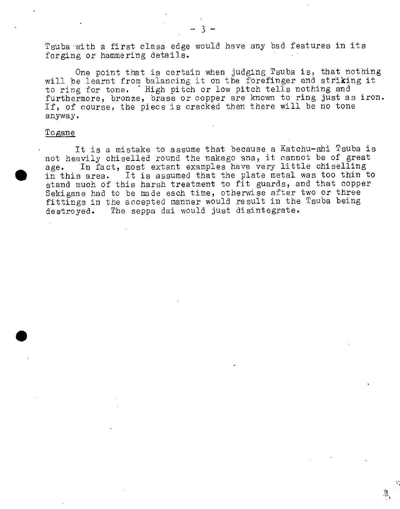Tsuba·with a first class edge would have any bad features in its forging or hammering details.

One point that is certain when judging Tsuba is, that nothing will be learnt from balancing it on the forefinger and striking it to ring for tone. · High pitch or low pitch tells nothing and furthermore, bronze, brass or copper are known to ring just as iron. If, of course, the piece is cracked then there will be no tone anyway.

#### Togan<u>e</u>

•

•

It is a mistake to assume that because a Katchu-shi Tsuba is not heavily chiselled round the nakago ana, it cannot be of grea<sup>t</sup> age. In fact, most extant examples have very little chiselling in this area. It is assumed that the plate metal was too thin to stand much of this harsh treatment to fit guards, and that copper Sekigane had to be made each time, otherwise after two or three fittings in the accepted manner would result in the Tsuba being destroyed. The seppa dai would just disintegrate.

.'

-.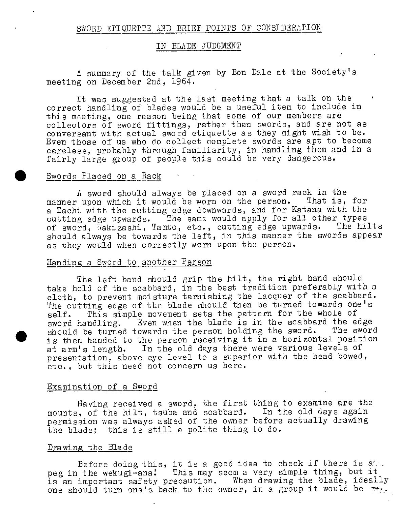## SWORD ETIQUETTE AND BRIEF POINTS OF CONSIDERATION

#### IN BLADE JUDGMENT

/1 summary of the talk given by Bon Dale at the Society's meeting on December 2nd, 1964.

It was suggested at the last meeting that a talk on the correct handling of blades would be a useful item to include in this meeting, one reason being that some of our members are collectors of sword fittings, rather than swords, and are not as conversant with actual sword etiquette as they might wish to be. Even those of us who do collect complete swords are apt to become careless, probably through familiarity, in handling them and in <sup>a</sup> fairly large group of people this could be very dangerous.

## Swords Placed on a Rack

A sword should always be placed on a sword rack in the<br>vupon which it would be worn on the person. That is, for manner upon which it would be worn on the person. a Tachi with the cutting edge downwards, and for Katana with the cutting edge upwards. The same would apply for all other types<br>of sword, Vakizashi, Tanto, etc., cutting edge upwards. The hilts of sword, Wakizashi, Tanto, etc., cutting edge upwards. should always be towards the left, in this manner the swords appear as they would when correctly worn upon the person.

### Handing a Sword to another Person

The left hand should grip the hilt, the right hand should take hold of the scabbard, in the best tradition preferably with <sup>a</sup> cloth, to prevent moisture tarnishing the lacquer of the scabbard. The cutting edge of the blade should then be turned towards one's self. This simple movement sets the pattern for the whole of sword handling. Even when the blade is in the scabbard the edge should be turned towards the person holding the sword. The sword is then handed to the person receiving it in a horizontal position at arm's length. In the old days there were various levels of presentation, above eye level to a superior with the head bowed, etc., but this need not concern us here.

#### Examination of a Sword

Having received a sword, the first thing to examine are the mounts, of the hilt, tsuba and scabbard. In the old days again permission was always asked of the owner before actually drawing the blade; this is still a polite thing to do.

#### Drawing the Blade

•

Before doing this, it is a good idea to check if there is a. peg in the wekugi-ana! This may seem a very simple thing, but it is an important safety precaution. When drawing the blade, ideally one should turn one's back to the owner, in a group it would be """: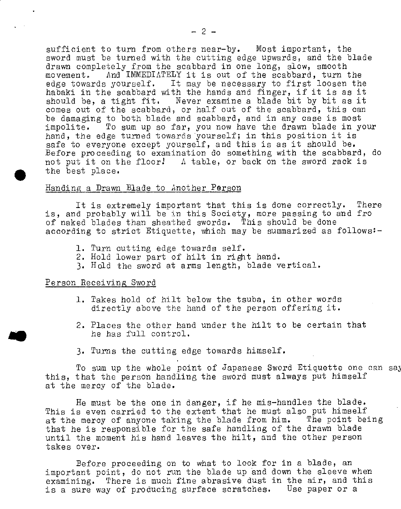sufficient to turn from others near-by. Most important, the sword must be turned with the cutting edge upwards, and the blade drawn completely from the scabbard in one long, slow, smooth movement. And IMMEDIATELY it is out of the scabbard, turn t And IMMEDIATELY it is out of the scabbard, turn the edge towards yourself. It may be necessary to first loosen the habaki in the scabbard with the hands and finger, if it is as it should be, a tight fit. Never examine a blade bit by bit as it comes out of the scabbard, or half out of the scabbard, this can be damaging to both blade and scabbard, and in any case is most<br>impolite. To sum up so far, you now have the drawn blade in yo To sum up so far, you now have the drawn blade in your hand, the edge turned towards yourself; in this position it is safe to everyone except yourself, and this is as it should be. Before proceeding to examination do something with the scabbard, do not put it on the floor! A table, or back on the sword rack is the best place.

### Handing\_a Drawn Blade to Another Person

It is extremely important that this is done correctly. There is, and probably will be in this Society, more passing to and fro of naked blades than sheathed swords. This should be done according to strict Etiquette, which may be summarized as follows:-

- 1. Turn cutting edge towards self.
- 2. Hold lower part of hilt in right hand.
- 3. Hold the sword at arms length, blade vertical.

## Person Receiving Sword

•

..

- 1. Takes hold of hilt below the tsuba, in other words directly above the hand of the person offering it.
- 2. Places the other hand under the hilt to be certain that he has full control.
- 3· Turns the cutting edge towards himself.

To sum up the whole point of Japanese Sword Etiquette one can say this, that the person handling the sword must always put himself at the mercy of the blade.

He must be the one in danger, if he mis-handles the blade. This is even carried to the extent that he must also put himself at the mercy of anyone taking the blade from him. The point being that he is responsible for the safe handling of the dravm blade until the moment his hand leaves the hilt, and the other person takes over.

Before proceeding on to what to look for in a blade, an important point, do not run the blade up and down the sleeve when examining. There is much fine abrasive dust in the air, and this is a sure way of producing surface scratches. Use paper or <sup>a</sup>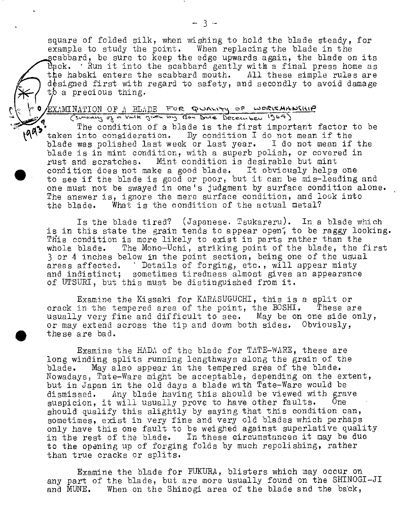square of folded silk, when wishing to hold the blade steady, for example to study the point. When replacing the blade in the scabbard, be sure to keep the edge upwards again, the blade on its  $\theta$ ack.  $\cdot$  Run it into the scabbard gently with a final press home as the habaki enters the scabbard mouth. All these simple rules are designed first with regard to safety, and secondly to avoid damage to a precious thing.

# EXAMINATION OF A BLADE FOR QUALITY OF WORKMANSHIP

 $\begin{picture}(42,17) \put(15,17){\line(1,0){155}} \put(15,17){\line(1,0){155}} \put(15,17){\line(1,0){155}} \put(15,17){\line(1,0){155}} \put(15,17){\line(1,0){155}} \put(15,17){\line(1,0){155}} \put(15,17){\line(1,0){155}} \put(15,17){\line(1,0){155}} \put(15,17){\line(1,0){155}} \put(15,17){\line(1,0){155}} \put(15,17){$ 

•

The condition of a blade is the first important factor to be  $-$  taken into consideration. By condition I do not mean if the blade was polished last week or last year. I do not mean if the blade is in mint condition, with a superb polish, or covered in rust and scratches. Mint condition is desirable but mint condition does not make a good blade. It obviously helps one to see if the blade is good or poor, but it can be mis-leading and one must not be swayed in one's judgment by surface condition alone. The answer is, ignore the mere surface condition, and look into<br>the blade. What is the condition of the actual metal? What is the condition of the actual metal?

Is the blade tired? (Japanese. Tsukareru). In a blade which is in this state the grain tends to appear open, to be raggy looking. Tnis condition is more likely to exist in parts rather than the whole blade. The Mono-Uchi, striking point of the blade, the first 3 or 4 inches below in the point section, being one of the usual areas affected. ' Details of forging, etc., will appear misty and indistinct; sometimes tiredness almost gives an appearance of UTSURI, but this must be distinguished from it.

Examine the Kissaki for KARASUGUCHI, this is a split or crack in the tempered area of the point, the BOSHI. These are usually very fine and difficult to see. May be on one side only, or may extend across the tip and dovm both sides. Obviously, • these are bad.

Examine the HADA of the blade for TATE-WARE, these are long winding splits running lengthways along the grain of the blade. May also appear in the tempered area of the blade. Nowadays, Tate-Ware might be acceptable, depending on the extent, but in Japan in the old days a blade with Tate-Ware would be dismissed. Any blade having this should be viewed with grave<br>suspicion, it will usually prove to have other faults. One suspicion, it will usually prove to have other faults. should qualify this slightly by saying that this condition can, sometimes, exist in very fine and very old blades which perhaps only have this one fault to be weighed against superlative quality in the rest of the blade. In these circumstances it may be duo to the opening up of forging folds by much repolishing, rather than true cracks or splits.

Examine the blade for FUKURA, blisters which may occur on any part of the blade, but are more usually found on the SHINOGI-JI and MUNE. When on the Shinogi area of the blade and the back,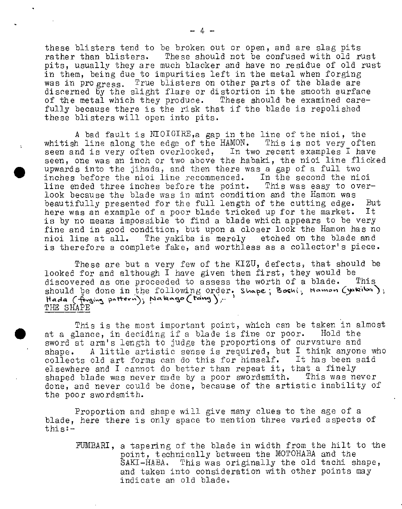these blisters tend to be broken out or open, and are slag pits rather than blisters. These should not be confused with old rust <sup>p</sup>its, usually they are much blacker and have no residue of old rust in them, being due to impurities left in the metal when forging was in progress. True blisters on other parts of the blade are discerned by the slight flare or distortion in the smooth surface of the metal which they produce. These should be examined carefully because there is the risk that if the blade is repolished these blisters will open into pits.

*<sup>A</sup>*bad fault is NIOIGIRE,a gap in the line of the nioi, the whitish line along the edge of the HAMON. This is not very often seen and is very often overlooked, In two recent examples I have seen, one was an inch or two above the habaki, the nioi line flicked upwards into the jihada, and then there was a gap of a full two inches before the nioi line recommenced. In the second the nioi line ended three inches before the point. This was easy to overlook because the blade was in mint condition and the Hamon was beautifully presented for the full length of the cutting edge. But<br>here was an example of a poor blade tricked up for the market. It here was an example of a poor blade tricked up for the market. is by no means impossible to find a blade which appears to be very fine and in good condition, but upon <sup>a</sup>closer look the Hamon has no nioi line at all. The yakiba is merely etched on the blade and is therefore a complete fake, and worthless as <sup>a</sup>collector's piece.

•

 $\bullet$ 

These are but a very few of the KIZU, defects, that should be looked for and although  $I$  have given them first, they would be discovered as one proceeded to assess the worth of a blade. This discovered as one proceeded to assess the worth of a blade. should be done in the following order. Shape; Boshi, Hamon (yakita);  $\text{Hada}$  (forging pattern); Nakago (tang); THE SHAPE

This is the most important point, which can be taken in almost at a glance, in deciding if a blade is fine or poor. Hold the sword at arm's length to judge the proportions of curvature and shape. A little artistic sense is required, but I think anyone who collects old art forms can do this for himself. It has been said elsewhere and I cannot do better than repeat it, that a finely<br>shaped blade was never made by a poor swordsmith. This was never shaped blade was never made by a poor swordsmith. done, and never could be done, because of the artistic inability of the poor swordsmith.

Proportion and shape will give many clues to the age of <sup>a</sup> blade, here there is only space to mention three varied aspects of this:-

FUMBARI, a tapering of the blade in width from the hilt to the point, technically between the MOTOHABA and the SAKI-HABA. This was originally the old tachi shape, and taken into consideration with other points may indicate an old blade,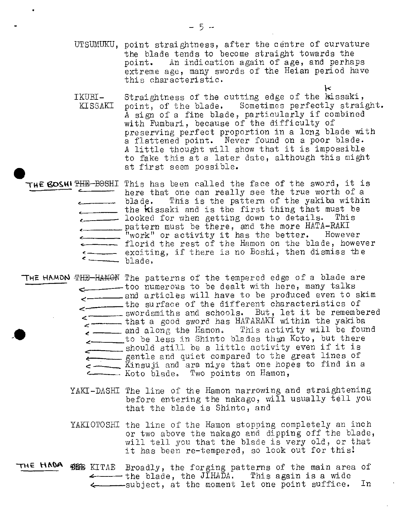- UTSUMUKU, point straightness, after the centre of curvature the blade tends to become straight towards the point. An indication again of age, and perhaps extreme age, many swords of the Heian period have this characteristic.
- IKUBI-KISSAKI Straightness of the cutting edge of the kissaki, point, of the blade. Sometimes perfectly straight. A sign of a fine blade, particularly if combined with Fumbart, because of the difficulty of preserving perfect proportion in a long blade with a flattened point. Never found on a poor blade. *<sup>A</sup>*little thought will show that it is impossible to fake this at a later date, although this might at first seem possible.

 $\kappa$ 

- THE BOSHITHE-BOSHI This has been called the face of the sword, it is here that one can really see the true worth of a<br>blade. This is the pattern of the yakiba within This is the pattern of the yakiba within  $\overline{\phantom{a}}$  the **k**issaki and is the first thing that must be  $\epsilon$ \_\_\_\_\_\_\_ looked for when getting down to details. This <-~--pattern must be there, and the more *HATA-RAKI*  <u>-</u> "work" or activity it has the better. However florid the rest of the Hamon on the blade, however exciting, if there is no Boshi, then dismiss the blade.
- **THE HAMON** PH<del>E HAMON</del> The patterns of the tempered edge of a blade are -· too numerous to be dealt with here, many talks z \_\_\_\_\_\_\_\_\_ and articles will have to be produced even to skim The surface of the different characteristics of swordsmiths and schools. But, let it be remembered that a good sword has HATARAKI within the yakiba , \_\_\_\_\_ and along the Hamon. Ihis activity will be found to be less in Shinto blades than Koto, but there should still be a little activity even if it is - gentle and quiet compared to the great lines of --- Kinsuji and ara niye that one hopes to find in <sup>a</sup> Koto blade. Two points on Hamon,
	- YAKI-DASHI The line of the Hamon narrowing and straightening before entering the nakago, will usually tell you that the blade is Shinto, and
	- YAKIOTOSHI the line of the Hamon stopping completely an inch or two above the nakago and dipping off the blade, will tell you that the blade is very old, or that it has been re-tempered, so look out for this!
- THE HADA WAB KITAE Broadly, the forging patterns of the main area of  $\longleftarrow$  the blade, the JIHADA. This again is a wide 4----subject, at the moment let one point suffice. In